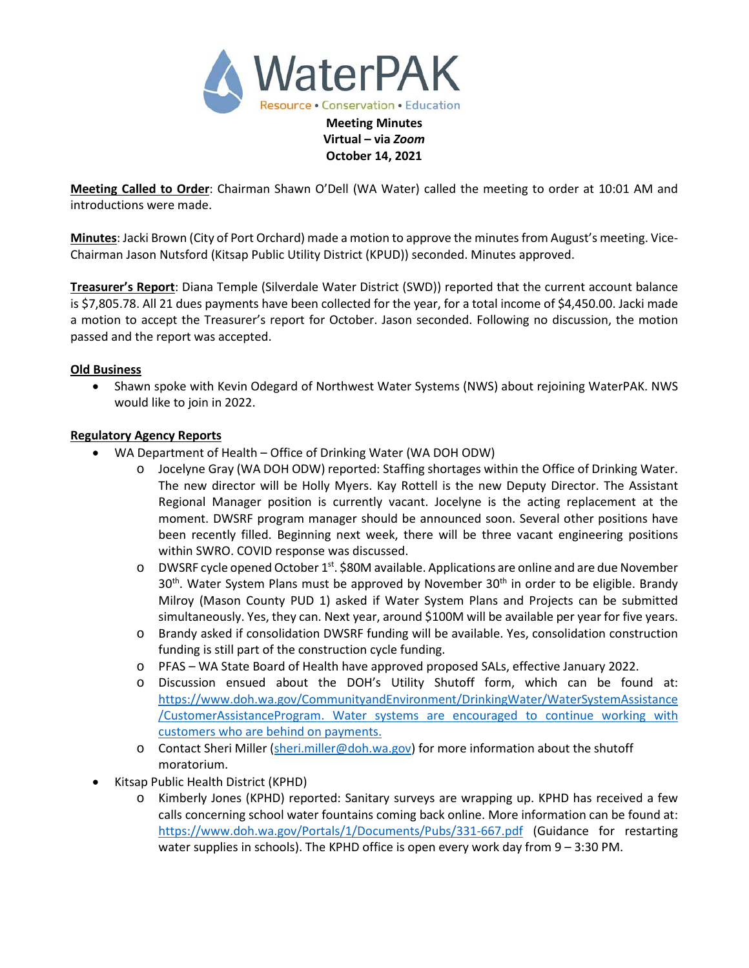

**Meeting Called to Order**: Chairman Shawn O'Dell (WA Water) called the meeting to order at 10:01 AM and introductions were made.

**October 14, 2021**

**Minutes**: Jacki Brown (City of Port Orchard) made a motion to approve the minutes from August's meeting. Vice-Chairman Jason Nutsford (Kitsap Public Utility District (KPUD)) seconded. Minutes approved.

**Treasurer's Report**: Diana Temple (Silverdale Water District (SWD)) reported that the current account balance is \$7,805.78. All 21 dues payments have been collected for the year, for a total income of \$4,450.00. Jacki made a motion to accept the Treasurer's report for October. Jason seconded. Following no discussion, the motion passed and the report was accepted.

### **Old Business**

• Shawn spoke with Kevin Odegard of Northwest Water Systems (NWS) about rejoining WaterPAK. NWS would like to join in 2022.

### **Regulatory Agency Reports**

- WA Department of Health Office of Drinking Water (WA DOH ODW)
	- o Jocelyne Gray (WA DOH ODW) reported: Staffing shortages within the Office of Drinking Water. The new director will be Holly Myers. Kay Rottell is the new Deputy Director. The Assistant Regional Manager position is currently vacant. Jocelyne is the acting replacement at the moment. DWSRF program manager should be announced soon. Several other positions have been recently filled. Beginning next week, there will be three vacant engineering positions within SWRO. COVID response was discussed.
	- o DWSRF cycle opened October 1<sup>st</sup>. \$80M available. Applications are online and are due November  $30<sup>th</sup>$ . Water System Plans must be approved by November  $30<sup>th</sup>$  in order to be eligible. Brandy Milroy (Mason County PUD 1) asked if Water System Plans and Projects can be submitted simultaneously. Yes, they can. Next year, around \$100M will be available per year for five years.
	- o Brandy asked if consolidation DWSRF funding will be available. Yes, consolidation construction funding is still part of the construction cycle funding.
	- o PFAS WA State Board of Health have approved proposed SALs, effective January 2022.
	- o Discussion ensued about the DOH's Utility Shutoff form, which can be found at: [https://www.doh.wa.gov/CommunityandEnvironment/DrinkingWater/WaterSystemAssistance](https://gcc02.safelinks.protection.outlook.com/?url=https%3A%2F%2Fwww.doh.wa.gov%2FCommunityandEnvironment%2FDrinkingWater%2FWaterSystemAssistance%2FCustomerAssistanceProgram&data=04%7C01%7Cjocelyne.gray%40doh.wa.gov%7Cfcffa456abcb4f42bae808d98f676a0a%7C11d0e217264e400a8ba057dcc127d72d%7C0%7C0%7C637698496597286200%7CUnknown%7CTWFpbGZsb3d8eyJWIjoiMC4wLjAwMDAiLCJQIjoiV2luMzIiLCJBTiI6Ik1haWwiLCJXVCI6Mn0%3D%7C1000&sdata=E8uzp6Ikv7YgBWykpzERRfKvTLbpPBLInpdEvtsfuPo%3D&reserved=0) [/CustomerAssistanceProgram.](https://gcc02.safelinks.protection.outlook.com/?url=https%3A%2F%2Fwww.doh.wa.gov%2FCommunityandEnvironment%2FDrinkingWater%2FWaterSystemAssistance%2FCustomerAssistanceProgram&data=04%7C01%7Cjocelyne.gray%40doh.wa.gov%7Cfcffa456abcb4f42bae808d98f676a0a%7C11d0e217264e400a8ba057dcc127d72d%7C0%7C0%7C637698496597286200%7CUnknown%7CTWFpbGZsb3d8eyJWIjoiMC4wLjAwMDAiLCJQIjoiV2luMzIiLCJBTiI6Ik1haWwiLCJXVCI6Mn0%3D%7C1000&sdata=E8uzp6Ikv7YgBWykpzERRfKvTLbpPBLInpdEvtsfuPo%3D&reserved=0) Water systems are encouraged to continue working with customers who are behind on payments.
	- o Contact Sheri Miller [\(sheri.miller@doh.wa.gov\)](mailto:sheri.miller@doh.wa.gov) for more information about the shutoff moratorium.
- Kitsap Public Health District (KPHD)
	- o Kimberly Jones (KPHD) reported: Sanitary surveys are wrapping up. KPHD has received a few calls concerning school water fountains coming back online. More information can be found at: <https://www.doh.wa.gov/Portals/1/Documents/Pubs/331-667.pdf> (Guidance for restarting water supplies in schools). The KPHD office is open every work day from 9 – 3:30 PM.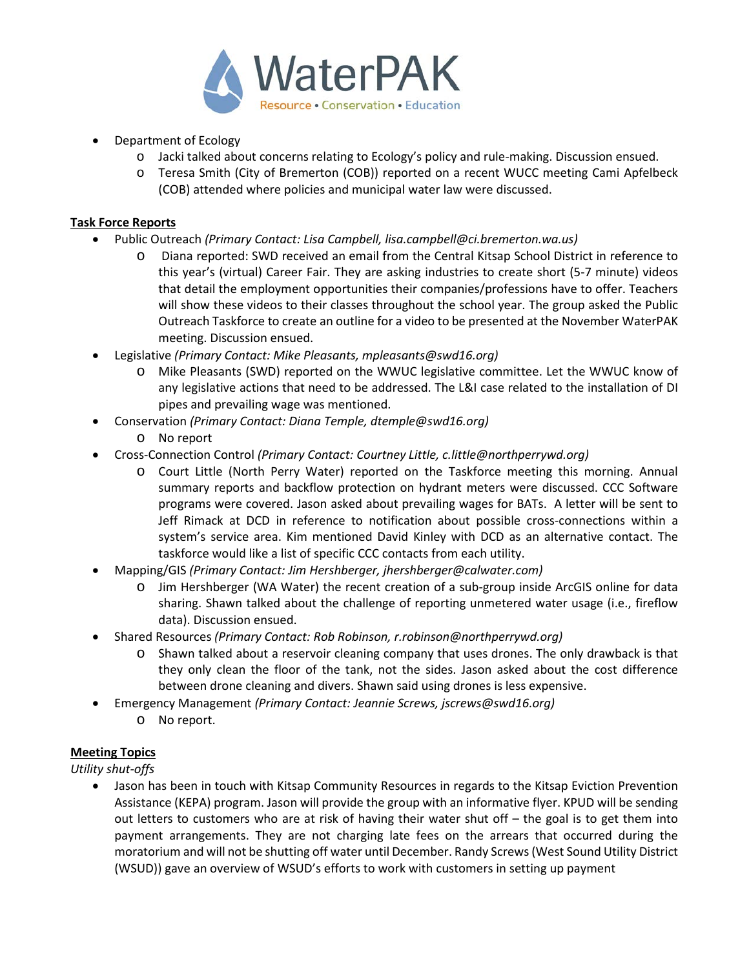

- Department of Ecology
	- o Jacki talked about concerns relating to Ecology's policy and rule-making. Discussion ensued.
	- o Teresa Smith (City of Bremerton (COB)) reported on a recent WUCC meeting Cami Apfelbeck (COB) attended where policies and municipal water law were discussed.

## **Task Force Reports**

- Public Outreach *(Primary Contact: Lisa Campbell, lisa.campbell@ci.bremerton.wa.us)*
	- o Diana reported: SWD received an email from the Central Kitsap School District in reference to this year's (virtual) Career Fair. They are asking industries to create short (5-7 minute) videos that detail the employment opportunities their companies/professions have to offer. Teachers will show these videos to their classes throughout the school year. The group asked the Public Outreach Taskforce to create an outline for a video to be presented at the November WaterPAK meeting. Discussion ensued.
- Legislative *(Primary Contact: Mike Pleasants, mpleasants@swd16.org)* 
	- o Mike Pleasants (SWD) reported on the WWUC legislative committee. Let the WWUC know of any legislative actions that need to be addressed. The L&I case related to the installation of DI pipes and prevailing wage was mentioned.
- Conservation *(Primary Contact: Diana Temple, dtemple@swd16.org)*
	- o No report
- Cross-Connection Control *(Primary Contact: Courtney Little[, c.little@northperrywd.org\)](mailto:c.little@northperrywd.org)*
	- o Court Little (North Perry Water) reported on the Taskforce meeting this morning. Annual summary reports and backflow protection on hydrant meters were discussed. CCC Software programs were covered. Jason asked about prevailing wages for BATs. A letter will be sent to Jeff Rimack at DCD in reference to notification about possible cross-connections within a system's service area. Kim mentioned David Kinley with DCD as an alternative contact. The taskforce would like a list of specific CCC contacts from each utility.
- Mapping/GIS *(Primary Contact: Jim Hershberger, jhershberger@calwater.com)*
	- Jim Hershberger (WA Water) the recent creation of a sub-group inside ArcGIS online for data sharing. Shawn talked about the challenge of reporting unmetered water usage (i.e., fireflow data). Discussion ensued.
- Shared Resources *(Primary Contact: Rob Robinson, r.robinson@northperrywd.org)*
	- o Shawn talked about a reservoir cleaning company that uses drones. The only drawback is that they only clean the floor of the tank, not the sides. Jason asked about the cost difference between drone cleaning and divers. Shawn said using drones is less expensive.
- Emergency Management *(Primary Contact: Jeannie Screws, jscrews@swd16.org)*
	- o No report.

# **Meeting Topics**

*Utility shut-offs*

• Jason has been in touch with Kitsap Community Resources in regards to the Kitsap Eviction Prevention Assistance (KEPA) program. Jason will provide the group with an informative flyer. KPUD will be sending out letters to customers who are at risk of having their water shut off – the goal is to get them into payment arrangements. They are not charging late fees on the arrears that occurred during the moratorium and will not be shutting off water until December. Randy Screws (West Sound Utility District (WSUD)) gave an overview of WSUD's efforts to work with customers in setting up payment